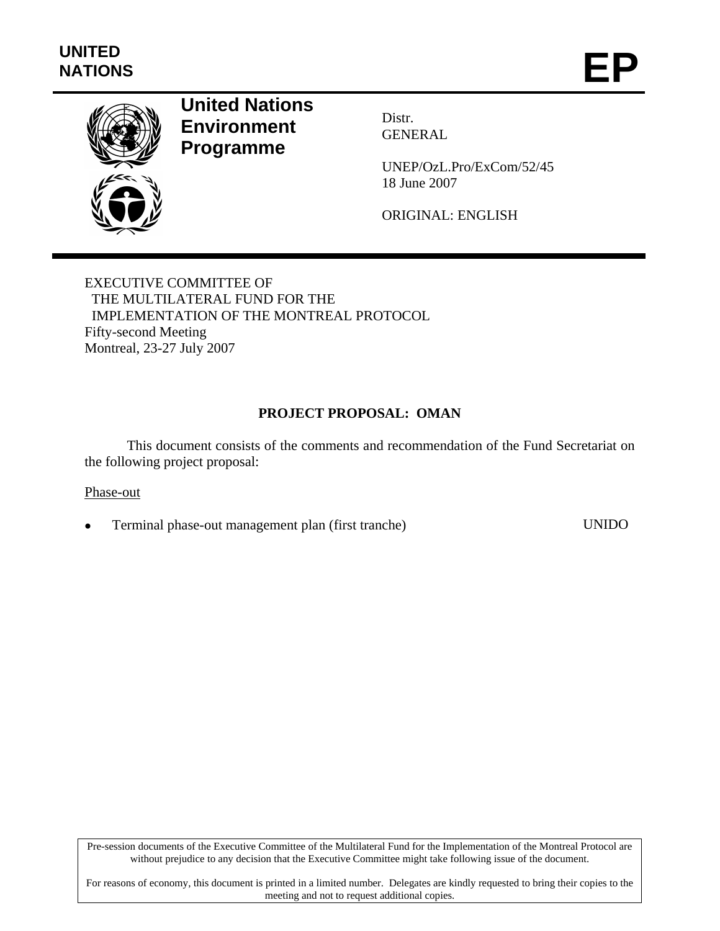

# **United Nations Environment Programme**

Distr. GENERAL

UNEP/OzL.Pro/ExCom/52/45 18 June 2007

ORIGINAL: ENGLISH

EXECUTIVE COMMITTEE OF THE MULTILATERAL FUND FOR THE IMPLEMENTATION OF THE MONTREAL PROTOCOL Fifty-second Meeting Montreal, 23-27 July 2007

# **PROJECT PROPOSAL: OMAN**

This document consists of the comments and recommendation of the Fund Secretariat on the following project proposal:

#### Phase-out

• Terminal phase-out management plan (first tranche) UNIDO

Pre-session documents of the Executive Committee of the Multilateral Fund for the Implementation of the Montreal Protocol are without prejudice to any decision that the Executive Committee might take following issue of the document.

For reasons of economy, this document is printed in a limited number. Delegates are kindly requested to bring their copies to the meeting and not to request additional copies.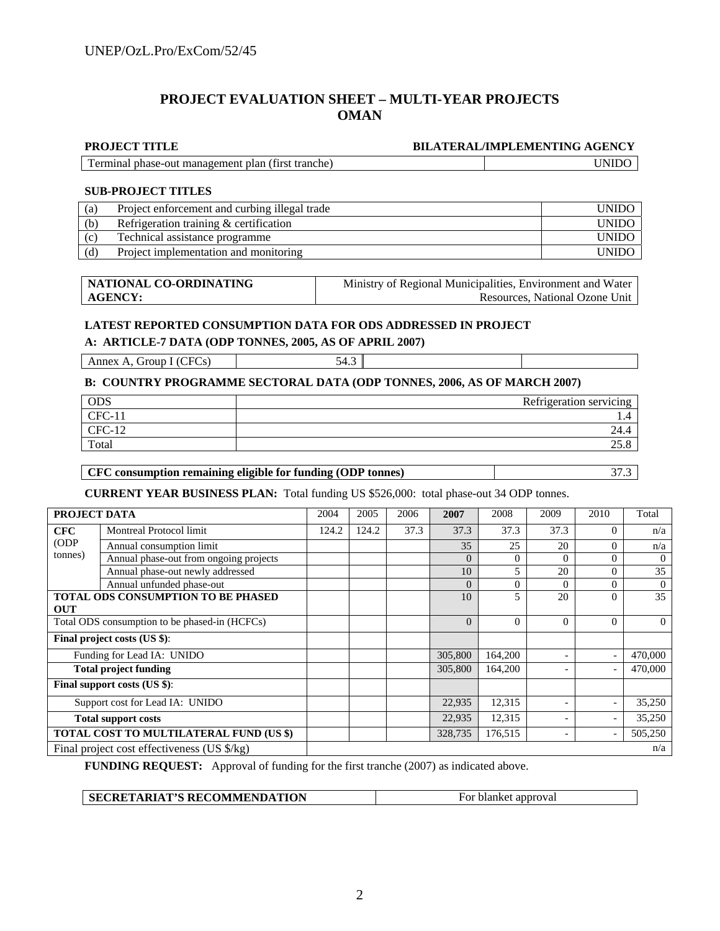#### **PROJECT EVALUATION SHEET – MULTI-YEAR PROJECTS OMAN**

#### **PROJECT TITLE BILATERAL/IMPLEMENTING AGENCY**

| Terminal phase-out management plan (first tranche) | <b>UNIDO</b> |
|----------------------------------------------------|--------------|
|                                                    |              |

#### **SUB-PROJECT TITLES**

| (a) | Project enforcement and curbing illegal trade |              |  |  |
|-----|-----------------------------------------------|--------------|--|--|
| (b) | Refrigeration training $&$ certification      | <b>UNIDO</b> |  |  |
| (c) | Technical assistance programme                | <b>UNIDO</b> |  |  |
| (d) | Project implementation and monitoring         | <b>UNIDO</b> |  |  |

| NATIONAL CO-ORDINATING | Ministry of Regional Municipalities, Environment and Water |  |  |
|------------------------|------------------------------------------------------------|--|--|
| AGENCY:                | Resources. National Ozone Unit                             |  |  |

#### **LATEST REPORTED CONSUMPTION DATA FOR ODS ADDRESSED IN PROJECT**

#### **A: ARTICLE-7 DATA (ODP TONNES, 2005, AS OF APRIL 2007)**

Annex A, Group I (CFCs) 54.3

#### **B: COUNTRY PROGRAMME SECTORAL DATA (ODP TONNES, 2006, AS OF MARCH 2007)**

| <b>ODS</b>                           | Refrigeration servicing |
|--------------------------------------|-------------------------|
| <b>CFC</b><br>$-$                    | . .                     |
| <b>CFC</b><br>1 <sub>0</sub><br>$-1$ | 24.4                    |
| Total                                | ی ر∠∠                   |

#### **CFC consumption remaining eligible for funding (ODP tonnes)** 37.3

**CURRENT YEAR BUSINESS PLAN:** Total funding US \$526,000: total phase-out 34 ODP tonnes.

| PROJECT DATA                                  |                                             | 2004  | 2005  | 2006 | 2007     | 2008     | 2009                     | 2010                     | Total    |
|-----------------------------------------------|---------------------------------------------|-------|-------|------|----------|----------|--------------------------|--------------------------|----------|
| <b>CFC</b>                                    | Montreal Protocol limit                     | 124.2 | 124.2 | 37.3 | 37.3     | 37.3     | 37.3                     | $\Omega$                 | n/a      |
| (ODP)                                         | Annual consumption limit                    |       |       |      | 35       | 25       | 20                       | $\Omega$                 | n/a      |
| tonnes)                                       | Annual phase-out from ongoing projects      |       |       |      | $\Omega$ | $\Omega$ | $\Omega$                 | $\theta$                 | $\theta$ |
|                                               | Annual phase-out newly addressed            |       |       |      | 10       | 5        | 20                       | $\theta$                 | 35       |
|                                               | Annual unfunded phase-out                   |       |       |      | $\Omega$ | $\Omega$ | $\Omega$                 | $\Omega$                 | $\Omega$ |
|                                               | <b>TOTAL ODS CONSUMPTION TO BE PHASED</b>   |       |       |      | 10       | 5        | 20                       | $\Omega$                 | 35       |
| <b>OUT</b>                                    |                                             |       |       |      |          |          |                          |                          |          |
| Total ODS consumption to be phased-in (HCFCs) |                                             |       |       |      | $\Omega$ | $\Omega$ | $\Omega$                 | $\Omega$                 | $\Omega$ |
| Final project costs (US \$):                  |                                             |       |       |      |          |          |                          |                          |          |
|                                               | Funding for Lead IA: UNIDO                  |       |       |      | 305,800  | 164,200  |                          |                          | 470,000  |
|                                               | <b>Total project funding</b>                |       |       |      | 305,800  | 164,200  | $\overline{\phantom{a}}$ |                          | 470,000  |
| Final support costs (US \$):                  |                                             |       |       |      |          |          |                          |                          |          |
| Support cost for Lead IA: UNIDO               |                                             |       |       |      | 22,935   | 12,315   |                          | $\overline{\phantom{a}}$ | 35,250   |
| <b>Total support costs</b>                    |                                             |       |       |      | 22,935   | 12,315   |                          |                          | 35,250   |
| TOTAL COST TO MULTILATERAL FUND (US \$)       |                                             |       |       |      | 328,735  | 176,515  | $\overline{\phantom{0}}$ |                          | 505,250  |
|                                               | Final project cost effectiveness (US \$/kg) |       |       |      |          |          | n/a                      |                          |          |

**FUNDING REQUEST:** Approval of funding for the first tranche (2007) as indicated above.

**SECRETARIAT'S RECOMMENDATION** For blanket approval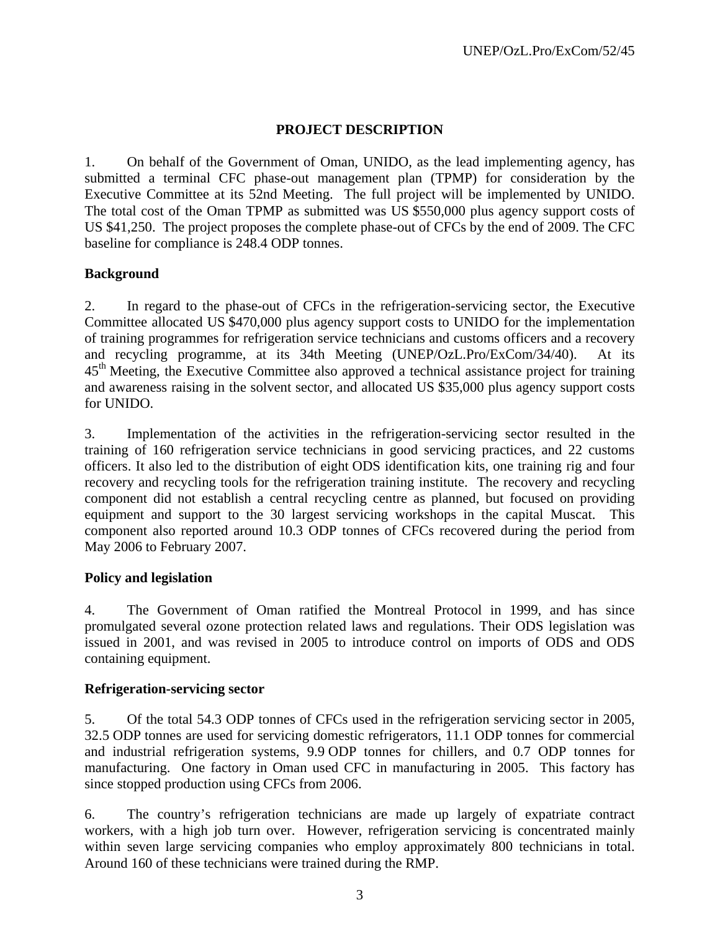# **PROJECT DESCRIPTION**

1. On behalf of the Government of Oman, UNIDO, as the lead implementing agency, has submitted a terminal CFC phase-out management plan (TPMP) for consideration by the Executive Committee at its 52nd Meeting. The full project will be implemented by UNIDO. The total cost of the Oman TPMP as submitted was US \$550,000 plus agency support costs of US \$41,250. The project proposes the complete phase-out of CFCs by the end of 2009. The CFC baseline for compliance is 248.4 ODP tonnes.

### **Background**

2. In regard to the phase-out of CFCs in the refrigeration-servicing sector, the Executive Committee allocated US \$470,000 plus agency support costs to UNIDO for the implementation of training programmes for refrigeration service technicians and customs officers and a recovery and recycling programme, at its 34th Meeting (UNEP/OzL.Pro/ExCom/34/40). At its 45<sup>th</sup> Meeting, the Executive Committee also approved a technical assistance project for training and awareness raising in the solvent sector, and allocated US \$35,000 plus agency support costs for UNIDO.

3. Implementation of the activities in the refrigeration-servicing sector resulted in the training of 160 refrigeration service technicians in good servicing practices, and 22 customs officers. It also led to the distribution of eight ODS identification kits, one training rig and four recovery and recycling tools for the refrigeration training institute. The recovery and recycling component did not establish a central recycling centre as planned, but focused on providing equipment and support to the 30 largest servicing workshops in the capital Muscat. This component also reported around 10.3 ODP tonnes of CFCs recovered during the period from May 2006 to February 2007.

#### **Policy and legislation**

4. The Government of Oman ratified the Montreal Protocol in 1999, and has since promulgated several ozone protection related laws and regulations. Their ODS legislation was issued in 2001, and was revised in 2005 to introduce control on imports of ODS and ODS containing equipment.

#### **Refrigeration-servicing sector**

5. Of the total 54.3 ODP tonnes of CFCs used in the refrigeration servicing sector in 2005, 32.5 ODP tonnes are used for servicing domestic refrigerators, 11.1 ODP tonnes for commercial and industrial refrigeration systems, 9.9 ODP tonnes for chillers, and 0.7 ODP tonnes for manufacturing. One factory in Oman used CFC in manufacturing in 2005. This factory has since stopped production using CFCs from 2006.

6. The country's refrigeration technicians are made up largely of expatriate contract workers, with a high job turn over. However, refrigeration servicing is concentrated mainly within seven large servicing companies who employ approximately 800 technicians in total. Around 160 of these technicians were trained during the RMP.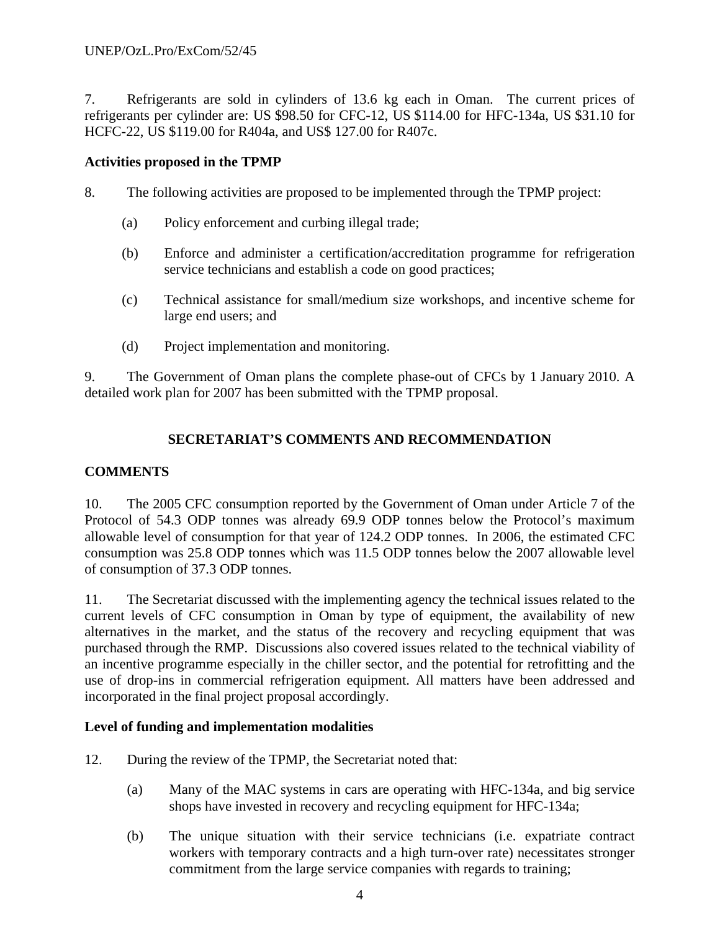7. Refrigerants are sold in cylinders of 13.6 kg each in Oman. The current prices of refrigerants per cylinder are: US \$98.50 for CFC-12, US \$114.00 for HFC-134a, US \$31.10 for HCFC-22, US \$119.00 for R404a, and US\$ 127.00 for R407c.

#### **Activities proposed in the TPMP**

- 8. The following activities are proposed to be implemented through the TPMP project:
	- (a) Policy enforcement and curbing illegal trade;
	- (b) Enforce and administer a certification/accreditation programme for refrigeration service technicians and establish a code on good practices;
	- (c) Technical assistance for small/medium size workshops, and incentive scheme for large end users; and
	- (d) Project implementation and monitoring.

9. The Government of Oman plans the complete phase-out of CFCs by 1 January 2010. A detailed work plan for 2007 has been submitted with the TPMP proposal.

### **SECRETARIAT'S COMMENTS AND RECOMMENDATION**

### **COMMENTS**

10. The 2005 CFC consumption reported by the Government of Oman under Article 7 of the Protocol of 54.3 ODP tonnes was already 69.9 ODP tonnes below the Protocol's maximum allowable level of consumption for that year of 124.2 ODP tonnes. In 2006, the estimated CFC consumption was 25.8 ODP tonnes which was 11.5 ODP tonnes below the 2007 allowable level of consumption of 37.3 ODP tonnes.

11. The Secretariat discussed with the implementing agency the technical issues related to the current levels of CFC consumption in Oman by type of equipment, the availability of new alternatives in the market, and the status of the recovery and recycling equipment that was purchased through the RMP. Discussions also covered issues related to the technical viability of an incentive programme especially in the chiller sector, and the potential for retrofitting and the use of drop-ins in commercial refrigeration equipment. All matters have been addressed and incorporated in the final project proposal accordingly.

#### **Level of funding and implementation modalities**

- 12. During the review of the TPMP, the Secretariat noted that:
	- (a) Many of the MAC systems in cars are operating with HFC-134a, and big service shops have invested in recovery and recycling equipment for HFC-134a;
	- (b) The unique situation with their service technicians (i.e. expatriate contract workers with temporary contracts and a high turn-over rate) necessitates stronger commitment from the large service companies with regards to training;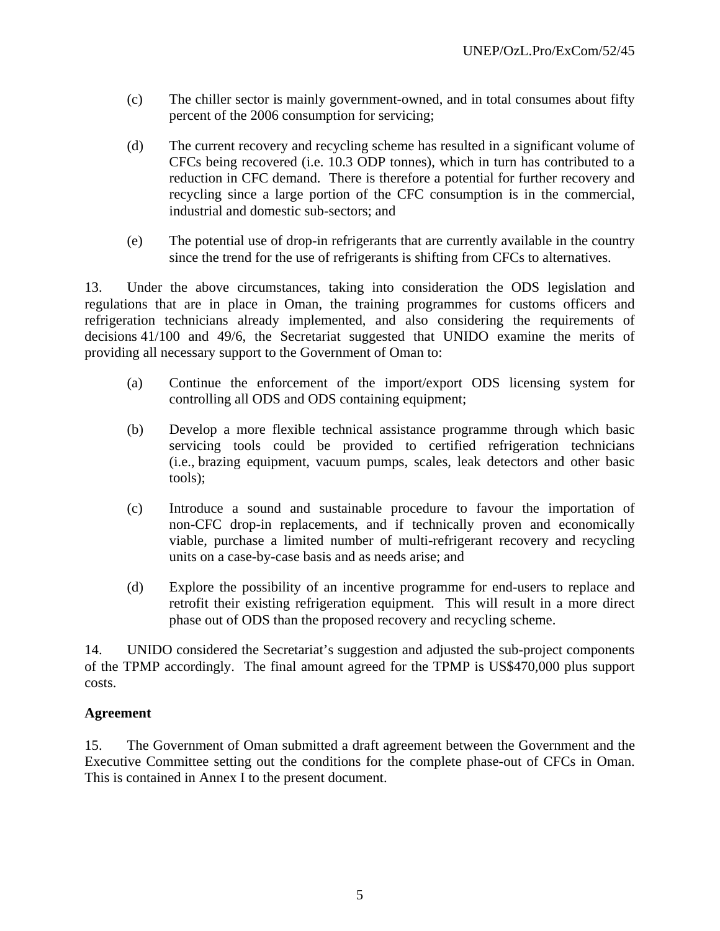- (c) The chiller sector is mainly government-owned, and in total consumes about fifty percent of the 2006 consumption for servicing;
- (d) The current recovery and recycling scheme has resulted in a significant volume of CFCs being recovered (i.e. 10.3 ODP tonnes), which in turn has contributed to a reduction in CFC demand. There is therefore a potential for further recovery and recycling since a large portion of the CFC consumption is in the commercial, industrial and domestic sub-sectors; and
- (e) The potential use of drop-in refrigerants that are currently available in the country since the trend for the use of refrigerants is shifting from CFCs to alternatives.

13. Under the above circumstances, taking into consideration the ODS legislation and regulations that are in place in Oman, the training programmes for customs officers and refrigeration technicians already implemented, and also considering the requirements of decisions 41/100 and 49/6, the Secretariat suggested that UNIDO examine the merits of providing all necessary support to the Government of Oman to:

- (a) Continue the enforcement of the import/export ODS licensing system for controlling all ODS and ODS containing equipment;
- (b) Develop a more flexible technical assistance programme through which basic servicing tools could be provided to certified refrigeration technicians (i.e., brazing equipment, vacuum pumps, scales, leak detectors and other basic tools);
- (c) Introduce a sound and sustainable procedure to favour the importation of non-CFC drop-in replacements, and if technically proven and economically viable, purchase a limited number of multi-refrigerant recovery and recycling units on a case-by-case basis and as needs arise; and
- (d) Explore the possibility of an incentive programme for end-users to replace and retrofit their existing refrigeration equipment. This will result in a more direct phase out of ODS than the proposed recovery and recycling scheme.

14. UNIDO considered the Secretariat's suggestion and adjusted the sub-project components of the TPMP accordingly. The final amount agreed for the TPMP is US\$470,000 plus support costs.

### **Agreement**

15. The Government of Oman submitted a draft agreement between the Government and the Executive Committee setting out the conditions for the complete phase-out of CFCs in Oman. This is contained in Annex I to the present document.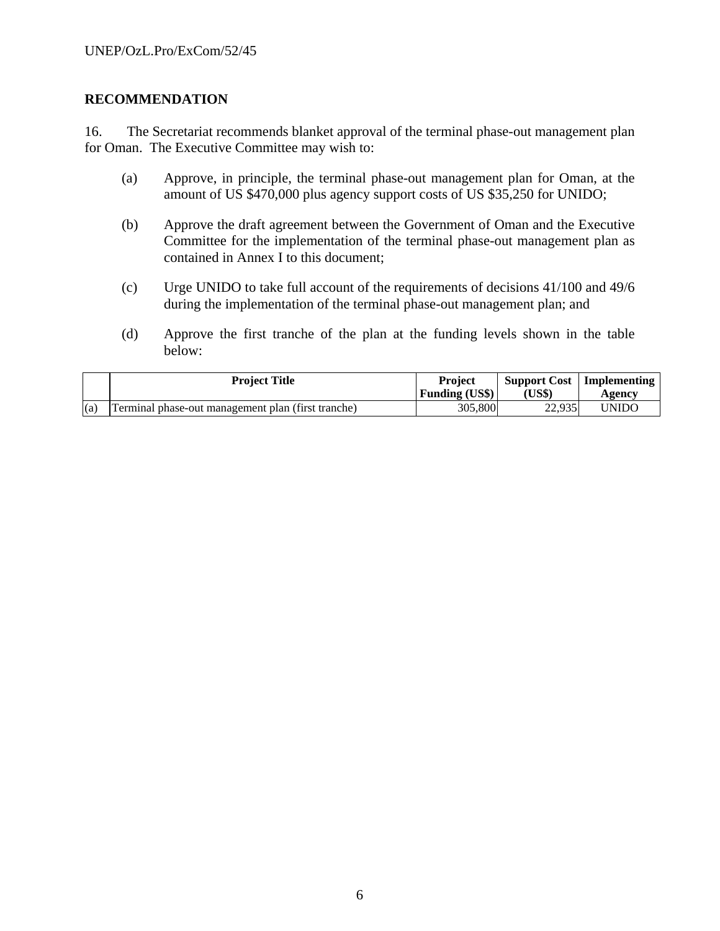#### **RECOMMENDATION**

16. The Secretariat recommends blanket approval of the terminal phase-out management plan for Oman. The Executive Committee may wish to:

- (a) Approve, in principle, the terminal phase-out management plan for Oman, at the amount of US \$470,000 plus agency support costs of US \$35,250 for UNIDO;
- (b) Approve the draft agreement between the Government of Oman and the Executive Committee for the implementation of the terminal phase-out management plan as contained in Annex I to this document;
- (c) Urge UNIDO to take full account of the requirements of decisions 41/100 and 49/6 during the implementation of the terminal phase-out management plan; and
- (d) Approve the first tranche of the plan at the funding levels shown in the table below:

|     | <b>Project Title</b>                               | <b>Project</b>        | Support Cost | Implementing |
|-----|----------------------------------------------------|-----------------------|--------------|--------------|
|     |                                                    | <b>Funding (US\$)</b> | 'US\$)       | Agency       |
| (a) | Terminal phase-out management plan (first tranche) | 305,800               | 22.935       | UNIDO        |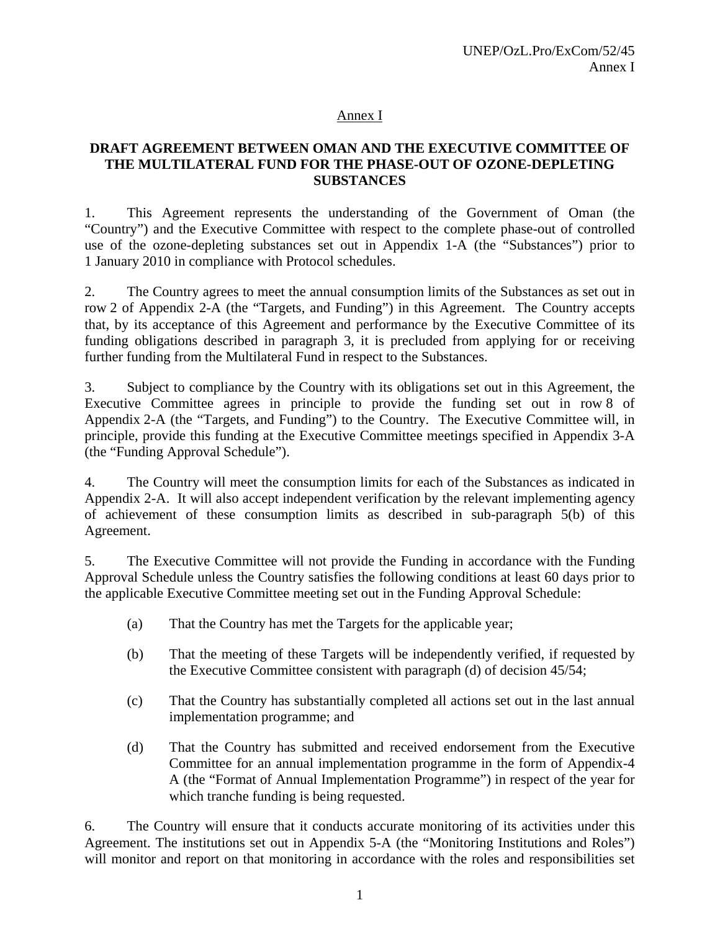#### Annex I

### **DRAFT AGREEMENT BETWEEN OMAN AND THE EXECUTIVE COMMITTEE OF THE MULTILATERAL FUND FOR THE PHASE-OUT OF OZONE-DEPLETING SUBSTANCES**

1. This Agreement represents the understanding of the Government of Oman (the "Country") and the Executive Committee with respect to the complete phase-out of controlled use of the ozone-depleting substances set out in Appendix 1-A (the "Substances") prior to 1 January 2010 in compliance with Protocol schedules.

2. The Country agrees to meet the annual consumption limits of the Substances as set out in row 2 of Appendix 2-A (the "Targets, and Funding") in this Agreement. The Country accepts that, by its acceptance of this Agreement and performance by the Executive Committee of its funding obligations described in paragraph 3, it is precluded from applying for or receiving further funding from the Multilateral Fund in respect to the Substances.

3. Subject to compliance by the Country with its obligations set out in this Agreement, the Executive Committee agrees in principle to provide the funding set out in row 8 of Appendix 2-A (the "Targets, and Funding") to the Country. The Executive Committee will, in principle, provide this funding at the Executive Committee meetings specified in Appendix 3-A (the "Funding Approval Schedule").

4. The Country will meet the consumption limits for each of the Substances as indicated in Appendix 2-A. It will also accept independent verification by the relevant implementing agency of achievement of these consumption limits as described in sub-paragraph 5(b) of this Agreement.

5. The Executive Committee will not provide the Funding in accordance with the Funding Approval Schedule unless the Country satisfies the following conditions at least 60 days prior to the applicable Executive Committee meeting set out in the Funding Approval Schedule:

- (a) That the Country has met the Targets for the applicable year;
- (b) That the meeting of these Targets will be independently verified, if requested by the Executive Committee consistent with paragraph (d) of decision 45/54;
- (c) That the Country has substantially completed all actions set out in the last annual implementation programme; and
- (d) That the Country has submitted and received endorsement from the Executive Committee for an annual implementation programme in the form of Appendix-4 A (the "Format of Annual Implementation Programme") in respect of the year for which tranche funding is being requested.

6. The Country will ensure that it conducts accurate monitoring of its activities under this Agreement. The institutions set out in Appendix 5-A (the "Monitoring Institutions and Roles") will monitor and report on that monitoring in accordance with the roles and responsibilities set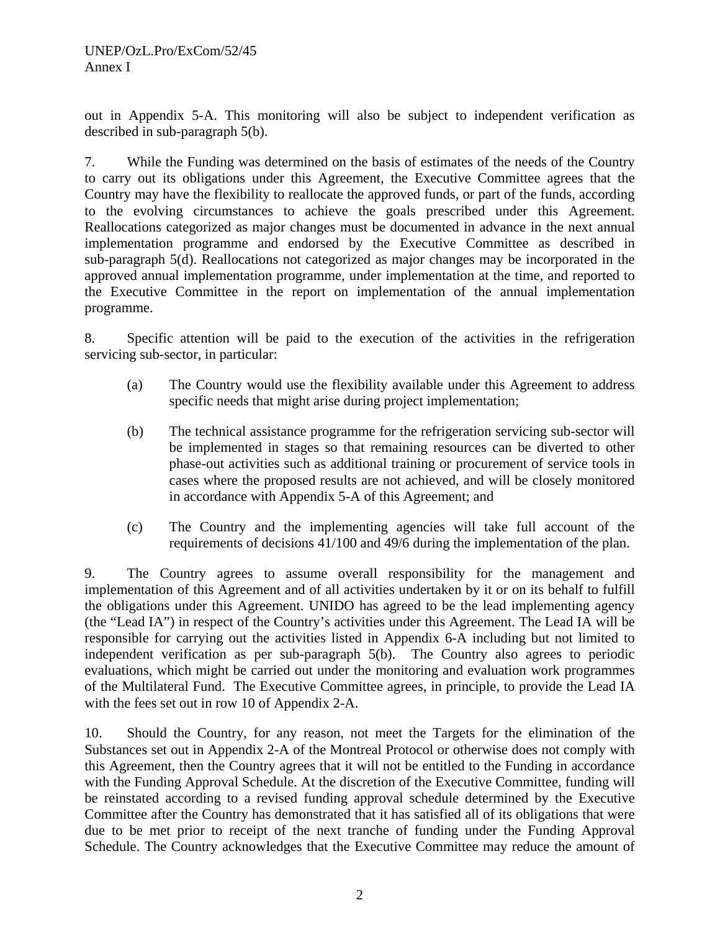out in Appendix 5-A. This monitoring will also be subject to independent verification as described in sub-paragraph 5(b).

7. While the Funding was determined on the basis of estimates of the needs of the Country to carry out its obligations under this Agreement, the Executive Committee agrees that the Country may have the flexibility to reallocate the approved funds, or part of the funds, according to the evolving circumstances to achieve the goals prescribed under this Agreement. Reallocations categorized as major changes must be documented in advance in the next annual implementation programme and endorsed by the Executive Committee as described in sub-paragraph 5(d). Reallocations not categorized as major changes may be incorporated in the approved annual implementation programme, under implementation at the time, and reported to the Executive Committee in the report on implementation of the annual implementation programme.

8. Specific attention will be paid to the execution of the activities in the refrigeration servicing sub-sector, in particular:

- (a) The Country would use the flexibility available under this Agreement to address specific needs that might arise during project implementation;
- (b) The technical assistance programme for the refrigeration servicing sub-sector will be implemented in stages so that remaining resources can be diverted to other phase-out activities such as additional training or procurement of service tools in cases where the proposed results are not achieved, and will be closely monitored in accordance with Appendix 5-A of this Agreement; and
- (c) The Country and the implementing agencies will take full account of the requirements of decisions 41/100 and 49/6 during the implementation of the plan.

9. The Country agrees to assume overall responsibility for the management and implementation of this Agreement and of all activities undertaken by it or on its behalf to fulfill the obligations under this Agreement. UNIDO has agreed to be the lead implementing agency (the "Lead IA") in respect of the Country's activities under this Agreement. The Lead IA will be responsible for carrying out the activities listed in Appendix 6-A including but not limited to independent verification as per sub-paragraph 5(b). The Country also agrees to periodic evaluations, which might be carried out under the monitoring and evaluation work programmes of the Multilateral Fund. The Executive Committee agrees, in principle, to provide the Lead IA with the fees set out in row 10 of Appendix 2-A.

10. Should the Country, for any reason, not meet the Targets for the elimination of the Substances set out in Appendix 2-A of the Montreal Protocol or otherwise does not comply with this Agreement, then the Country agrees that it will not be entitled to the Funding in accordance with the Funding Approval Schedule. At the discretion of the Executive Committee, funding will be reinstated according to a revised funding approval schedule determined by the Executive Committee after the Country has demonstrated that it has satisfied all of its obligations that were due to be met prior to receipt of the next tranche of funding under the Funding Approval Schedule. The Country acknowledges that the Executive Committee may reduce the amount of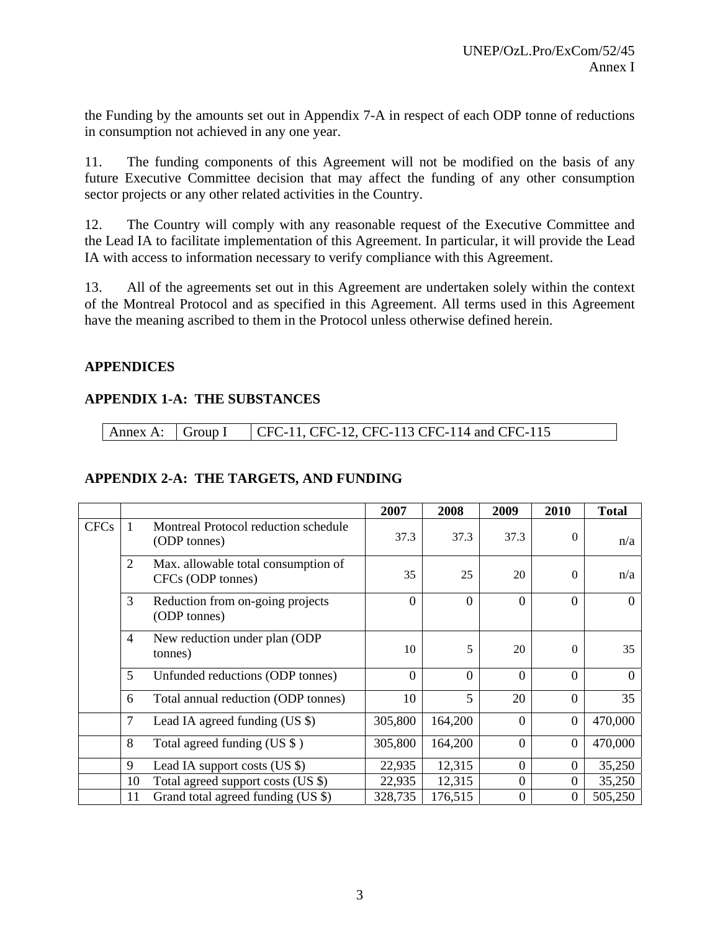the Funding by the amounts set out in Appendix 7-A in respect of each ODP tonne of reductions in consumption not achieved in any one year.

11. The funding components of this Agreement will not be modified on the basis of any future Executive Committee decision that may affect the funding of any other consumption sector projects or any other related activities in the Country.

12. The Country will comply with any reasonable request of the Executive Committee and the Lead IA to facilitate implementation of this Agreement. In particular, it will provide the Lead IA with access to information necessary to verify compliance with this Agreement.

13. All of the agreements set out in this Agreement are undertaken solely within the context of the Montreal Protocol and as specified in this Agreement. All terms used in this Agreement have the meaning ascribed to them in the Protocol unless otherwise defined herein.

#### **APPENDICES**

### **APPENDIX 1-A: THE SUBSTANCES**

| $\vert$ Annex A: $\vert$ Group I |  | $\blacksquare$ CFC-11, CFC-12, CFC-113 CFC-114 and CFC-115 |
|----------------------------------|--|------------------------------------------------------------|
|----------------------------------|--|------------------------------------------------------------|

### **APPENDIX 2-A: THE TARGETS, AND FUNDING**

|             |                |                                                          | 2007     | 2008           | 2009     | 2010           | <b>Total</b> |
|-------------|----------------|----------------------------------------------------------|----------|----------------|----------|----------------|--------------|
| <b>CFCs</b> |                | Montreal Protocol reduction schedule<br>(ODP tonnes)     | 37.3     | 37.3           | 37.3     | $\Omega$       | n/a          |
|             | $\overline{2}$ | Max. allowable total consumption of<br>CFCs (ODP tonnes) | 35       | 25             | 20       | $\Omega$       | n/a          |
|             | 3              | Reduction from on-going projects<br>(ODP tonnes)         | $\Omega$ | $\overline{0}$ | $\Omega$ | $\overline{0}$ | $\Omega$     |
|             | $\overline{4}$ | New reduction under plan (ODP<br>tonnes)                 | 10       | 5              | 20       | $\Omega$       | 35           |
|             | 5              | Unfunded reductions (ODP tonnes)                         | $\Omega$ | $\Omega$       | $\Omega$ | $\Omega$       | $\Omega$     |
|             | 6              | Total annual reduction (ODP tonnes)                      | 10       | 5              | 20       | $\Omega$       | 35           |
|             | 7              | Lead IA agreed funding $(US \$ )                         | 305,800  | 164,200        | $\Omega$ | $\theta$       | 470,000      |
|             | 8              | Total agreed funding (US \$)                             | 305,800  | 164,200        | $\Omega$ | $\overline{0}$ | 470,000      |
|             | 9              | Lead IA support costs (US \$)                            | 22,935   | 12,315         | $\theta$ | $\theta$       | 35,250       |
|             | 10             | Total agreed support costs (US \$)                       | 22,935   | 12,315         | $\Omega$ | $\Omega$       | 35,250       |
|             | 11             | Grand total agreed funding (US \$)                       | 328,735  | 176,515        | $\Omega$ | $\mathbf{0}$   | 505,250      |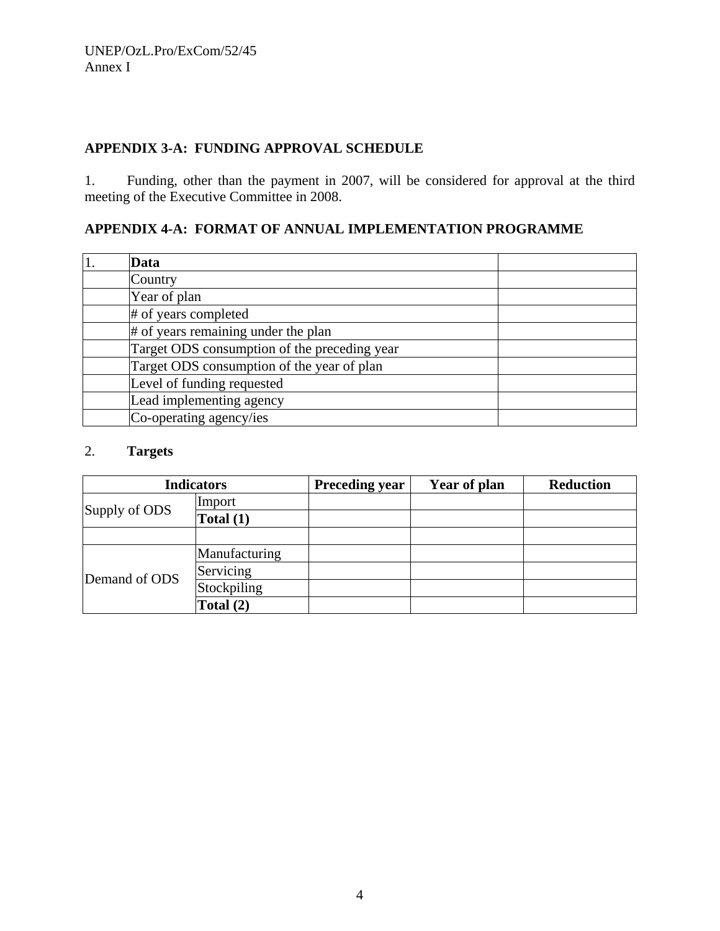# **APPENDIX 3-A: FUNDING APPROVAL SCHEDULE**

1. Funding, other than the payment in 2007, will be considered for approval at the third meeting of the Executive Committee in 2008.

# **APPENDIX 4-A: FORMAT OF ANNUAL IMPLEMENTATION PROGRAMME**

| Data                                         |  |
|----------------------------------------------|--|
| Country                                      |  |
| Year of plan                                 |  |
| # of years completed                         |  |
| # of years remaining under the plan          |  |
| Target ODS consumption of the preceding year |  |
| Target ODS consumption of the year of plan   |  |
| Level of funding requested                   |  |
| Lead implementing agency                     |  |
| Co-operating agency/ies                      |  |

#### 2. **Targets**

| <b>Indicators</b> |               | <b>Preceding year</b> | Year of plan | <b>Reduction</b> |
|-------------------|---------------|-----------------------|--------------|------------------|
|                   | Import        |                       |              |                  |
| Supply of ODS     | Total $(1)$   |                       |              |                  |
|                   |               |                       |              |                  |
|                   | Manufacturing |                       |              |                  |
| Demand of ODS     | Servicing     |                       |              |                  |
|                   | Stockpiling   |                       |              |                  |
|                   | Total $(2)$   |                       |              |                  |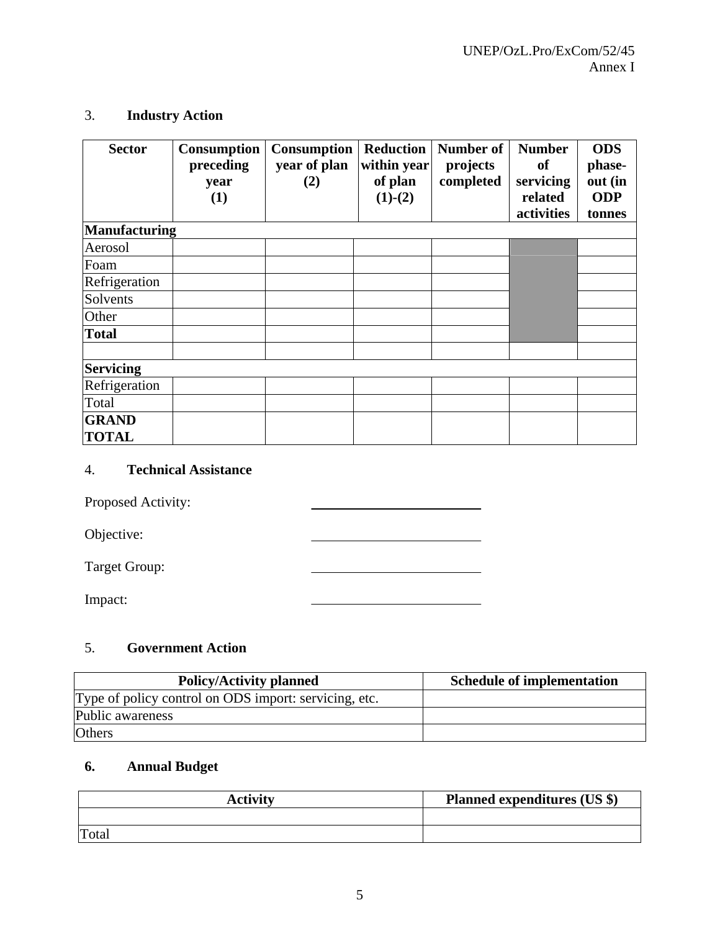# 3. **Industry Action**

| <b>Sector</b>        | Consumption<br>preceding<br>year<br>(1) | <b>Consumption</b><br>year of plan<br>(2) | <b>Reduction</b><br>within year<br>of plan<br>$(1)-(2)$ | <b>Number of</b><br>projects<br>completed | <b>Number</b><br><b>of</b><br>servicing<br>related<br>activities | <b>ODS</b><br>phase-<br>out (in<br><b>ODP</b><br>tonnes |
|----------------------|-----------------------------------------|-------------------------------------------|---------------------------------------------------------|-------------------------------------------|------------------------------------------------------------------|---------------------------------------------------------|
| <b>Manufacturing</b> |                                         |                                           |                                                         |                                           |                                                                  |                                                         |
| Aerosol              |                                         |                                           |                                                         |                                           |                                                                  |                                                         |
| Foam                 |                                         |                                           |                                                         |                                           |                                                                  |                                                         |
| Refrigeration        |                                         |                                           |                                                         |                                           |                                                                  |                                                         |
| Solvents             |                                         |                                           |                                                         |                                           |                                                                  |                                                         |
| Other                |                                         |                                           |                                                         |                                           |                                                                  |                                                         |
| <b>Total</b>         |                                         |                                           |                                                         |                                           |                                                                  |                                                         |
|                      |                                         |                                           |                                                         |                                           |                                                                  |                                                         |
| <b>Servicing</b>     |                                         |                                           |                                                         |                                           |                                                                  |                                                         |
| Refrigeration        |                                         |                                           |                                                         |                                           |                                                                  |                                                         |
| Total                |                                         |                                           |                                                         |                                           |                                                                  |                                                         |
| <b>GRAND</b>         |                                         |                                           |                                                         |                                           |                                                                  |                                                         |
| <b>TOTAL</b>         |                                         |                                           |                                                         |                                           |                                                                  |                                                         |

# 4. **Technical Assistance**

Proposed Activity:

Objective:

Target Group:

Impact:

# 5. **Government Action**

| <b>Policy/Activity planned</b>                        | <b>Schedule of implementation</b> |
|-------------------------------------------------------|-----------------------------------|
| Type of policy control on ODS import: servicing, etc. |                                   |
| Public awareness                                      |                                   |
| <b>Others</b>                                         |                                   |

<u> 1989 - Johann Barbara, martxa a</u>

# **6. Annual Budget**

| <b>Activity</b> | <b>Planned expenditures (US \$)</b> |
|-----------------|-------------------------------------|
|                 |                                     |
| Total           |                                     |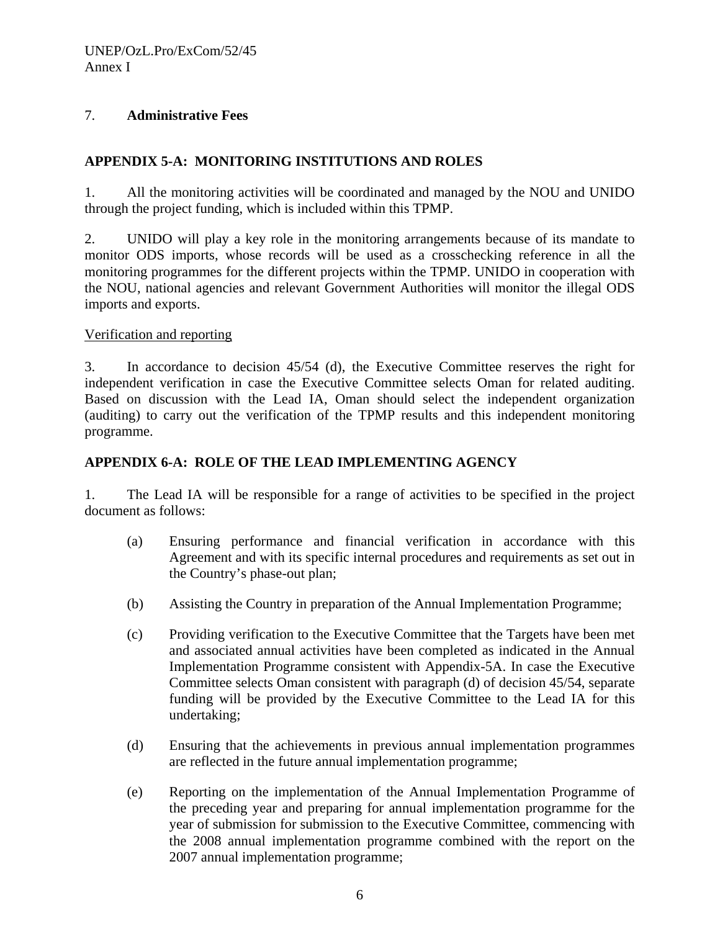# 7. **Administrative Fees**

# **APPENDIX 5-A: MONITORING INSTITUTIONS AND ROLES**

1. All the monitoring activities will be coordinated and managed by the NOU and UNIDO through the project funding, which is included within this TPMP.

2. UNIDO will play a key role in the monitoring arrangements because of its mandate to monitor ODS imports, whose records will be used as a crosschecking reference in all the monitoring programmes for the different projects within the TPMP. UNIDO in cooperation with the NOU, national agencies and relevant Government Authorities will monitor the illegal ODS imports and exports.

#### Verification and reporting

3. In accordance to decision 45/54 (d), the Executive Committee reserves the right for independent verification in case the Executive Committee selects Oman for related auditing. Based on discussion with the Lead IA, Oman should select the independent organization (auditing) to carry out the verification of the TPMP results and this independent monitoring programme.

### **APPENDIX 6-A: ROLE OF THE LEAD IMPLEMENTING AGENCY**

1. The Lead IA will be responsible for a range of activities to be specified in the project document as follows:

- (a) Ensuring performance and financial verification in accordance with this Agreement and with its specific internal procedures and requirements as set out in the Country's phase-out plan;
- (b) Assisting the Country in preparation of the Annual Implementation Programme;
- (c) Providing verification to the Executive Committee that the Targets have been met and associated annual activities have been completed as indicated in the Annual Implementation Programme consistent with Appendix-5A. In case the Executive Committee selects Oman consistent with paragraph (d) of decision 45/54, separate funding will be provided by the Executive Committee to the Lead IA for this undertaking;
- (d) Ensuring that the achievements in previous annual implementation programmes are reflected in the future annual implementation programme;
- (e) Reporting on the implementation of the Annual Implementation Programme of the preceding year and preparing for annual implementation programme for the year of submission for submission to the Executive Committee, commencing with the 2008 annual implementation programme combined with the report on the 2007 annual implementation programme;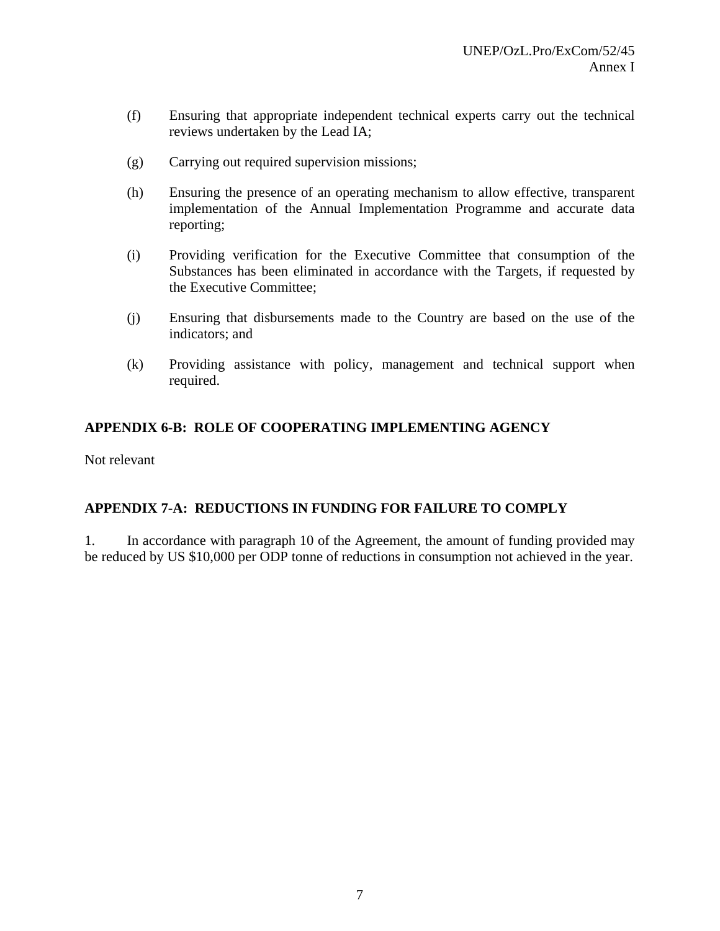- (f) Ensuring that appropriate independent technical experts carry out the technical reviews undertaken by the Lead IA;
- (g) Carrying out required supervision missions;
- (h) Ensuring the presence of an operating mechanism to allow effective, transparent implementation of the Annual Implementation Programme and accurate data reporting;
- (i) Providing verification for the Executive Committee that consumption of the Substances has been eliminated in accordance with the Targets, if requested by the Executive Committee;
- (j) Ensuring that disbursements made to the Country are based on the use of the indicators; and
- (k) Providing assistance with policy, management and technical support when required.

# **APPENDIX 6-B: ROLE OF COOPERATING IMPLEMENTING AGENCY**

Not relevant

### **APPENDIX 7-A: REDUCTIONS IN FUNDING FOR FAILURE TO COMPLY**

1. In accordance with paragraph 10 of the Agreement, the amount of funding provided may be reduced by US \$10,000 per ODP tonne of reductions in consumption not achieved in the year.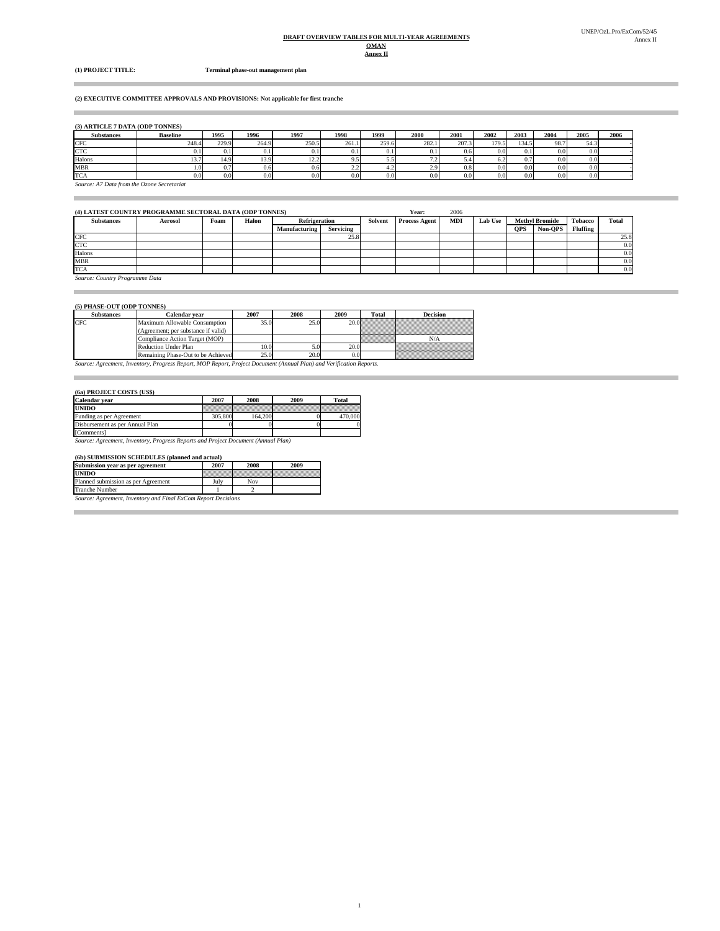#### **Annex II DRAFT OVERVIEW TABLES FOR MULTI-YEAR AGREEMENTS OMAN**

 $\bar{a}$ 

Î.

**(1) PROJECT TITLE: Terminal phase-out management plan**

#### **(2) EXECUTIVE COMMITTEE APPROVALS AND PROVISIONS: Not applicable for first tranche**

**(3) ARTICLE 7 DATA (ODP TONNES)**

| <b>Substances</b> | <b>Baseline</b>                            | 1995  | 1996  | 1997             | 1998             | 1999     | 2000                     | 2001             | 2002  | 2003  | 2004             | 2005 | 2006 |
|-------------------|--------------------------------------------|-------|-------|------------------|------------------|----------|--------------------------|------------------|-------|-------|------------------|------|------|
| <b>CFC</b>        | 248.4                                      | 229.9 | 264.9 | 250.5            | 261.1            | 259.6    | 282.1                    | 207.3            | 179.5 | 134.5 | 98.7             | 54.3 |      |
| <b>CTC</b>        | V. I                                       | V. I  |       | 0.1              |                  | U. I     | 0.1                      | 0.6              | 0.01  | 0.1   | 0.0 <sub>1</sub> | 0.0  |      |
| Halons            | 15.                                        | 14.9  | 13.9  | 12.2             |                  | ر. ر     | $\overline{\phantom{a}}$ | 5.4              |       | 0.7   | 0.0 <sub>1</sub> | 0.0  |      |
| <b>MBR</b>        | . O                                        | 0.7   | 0.6   | 0.6              | າາ<br>ىقىد       | t.∠      | 2.9                      | 0.8              | 0.01  | 0.0   | 0.0 <sub>1</sub> | 0.0  |      |
| <b>TCA</b>        | 0.0                                        | 0.0   | 0.0   | 0.0 <sub>l</sub> | 0.0 <sub>1</sub> | $_{0.0}$ | 0.01                     | 0.0 <sub>1</sub> | 0.01  | 0.0   | 0.01             | 0.0  |      |
|                   | Source: A7 Data from the Ozone Secretariat |       |       |                  |                  |          |                          |                  |       |       |                  |      |      |

| (4) LATEST COUNTRY PROGRAMME SECTORAL DATA (ODP TONNES) |         |      |       |                      |                  |         | Year:                | 2006       |                |            |                       |                |       |
|---------------------------------------------------------|---------|------|-------|----------------------|------------------|---------|----------------------|------------|----------------|------------|-----------------------|----------------|-------|
| <b>Substances</b>                                       | Aerosol | Foam | Halon | <b>Refrigeration</b> |                  | Solvent | <b>Process Agent</b> | <b>MDI</b> | <b>Lab Use</b> |            | <b>Methyl Bromide</b> | <b>Tobacco</b> | Total |
|                                                         |         |      |       | Manufacturing        | <b>Servicing</b> |         |                      |            |                | <b>OPS</b> | Non-OPS               | Fluffing       |       |
| <b>CFC</b>                                              |         |      |       |                      | 25.8             |         |                      |            |                |            |                       |                | 25.8  |
| <b>CTC</b>                                              |         |      |       |                      |                  |         |                      |            |                |            |                       |                | 0.0   |
| Halons                                                  |         |      |       |                      |                  |         |                      |            |                |            |                       |                | 0.0   |
| <b>MBR</b>                                              |         |      |       |                      |                  |         |                      |            |                |            |                       |                | 0.0   |
| <b>TCA</b>                                              |         |      |       |                      |                  |         |                      |            |                |            |                       |                | 0.0   |

1

*Source: Country Programme Data*

#### **(5) PHASE-OUT (ODP TONNES)**

| <b>Substances</b> | Calendar vear                                                                                                       | 2007 | 2008 | 2009 | Total | <b>Decision</b> |  |  |  |
|-------------------|---------------------------------------------------------------------------------------------------------------------|------|------|------|-------|-----------------|--|--|--|
| CFC.              | Maximum Allowable Consumption<br>(Agreement; per substance if valid)                                                | 35.0 | 25.0 |      |       |                 |  |  |  |
|                   | Compliance Action Target (MOP)                                                                                      |      |      |      |       |                 |  |  |  |
|                   | <b>Reduction Under Plan</b>                                                                                         | 10.0 |      | 20.0 |       |                 |  |  |  |
|                   | Remaining Phase-Out to be Achieved                                                                                  | 25.0 | 20.0 |      |       |                 |  |  |  |
|                   | Source: Agreement, Inventory, Progress Report, MOP Report, Project Document (Annual Plan) and Verification Reports. |      |      |      |       |                 |  |  |  |

#### **(6a) PROJECT COSTS (US\$)**

| Calendar vear                   | 2007    | 2008    | 2009 | <b>Total</b> |
|---------------------------------|---------|---------|------|--------------|
| <b>UNIDO</b>                    |         |         |      |              |
| Funding as per Agreement        | 305,800 | 164,200 |      | 470,000      |
| Disbursement as per Annual Plan |         |         |      |              |
| [Comments]                      |         |         |      |              |

**[Comments]**<br>Source: Agreement, Inventory, Progress Reports and Project Document (Annual Plan)

#### **(6b) SUBMISSION SCHEDULES (planned and actual)**

| Submission year as per agreement                              | 2007 | 2008 | 2009 |  |  |  |  |
|---------------------------------------------------------------|------|------|------|--|--|--|--|
| <b>UNIDO</b>                                                  |      |      |      |  |  |  |  |
| Planned submission as per Agreement                           | July | Nov  |      |  |  |  |  |
| <b>Tranche Number</b>                                         |      |      |      |  |  |  |  |
| Source: Agreement, Inventory and Final ExCom Report Decisions |      |      |      |  |  |  |  |